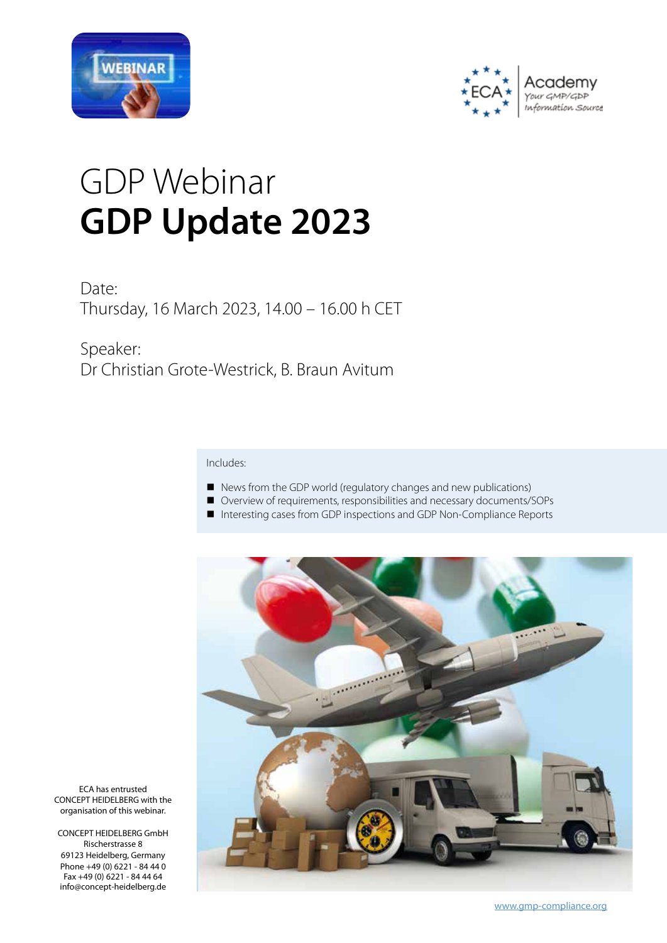



# GDP Webinar **GDP Update 2023**

Date: Thursday, 16 March 2023, 14.00 – 16.00 h CET

Speaker: Dr Christian Grote-Westrick, B. Braun Avitum

## Includes:

- News from the GDP world (regulatory changes and new publications)
- Overview of requirements, responsibilities and necessary documents/SOPs
- Interesting cases from GDP inspections and GDP Non-Compliance Reports



ECA has entrusted CONCEPT HEIDELBERG with the organisation of this webinar.

CONCEPT HEIDELBERG GmbH Rischerstrasse 8 69123 Heidelberg, Germany Phone +49 (0) 6221 - 84 44 0 Fax +49 (0) 6221 - 84 44 64 info@concept-heidelberg.de

www.gmp-compliance.org